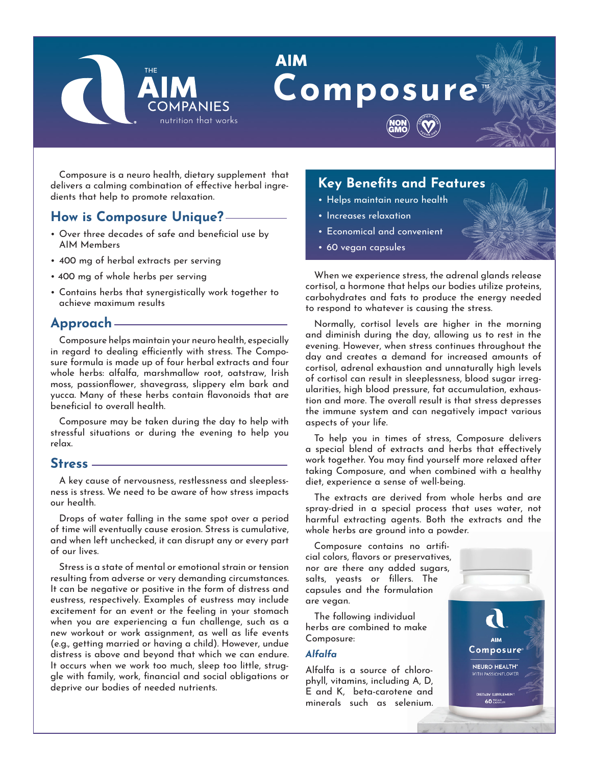

# **AIM** Composure



Composure is a neuro health, dietary supplement that delivers a calming combination of effective herbal ingredients that help to promote relaxation.

## **How is Composure Unique?**

- Over three decades of safe and beneficial use by AIM Members
- 400 mg of herbal extracts per serving
- 400 mg of whole herbs per serving
- Contains herbs that synergistically work together to achieve maximum results

## **Approach**

Composure helps maintain your neuro health, especially in regard to dealing efficiently with stress. The Composure formula is made up of four herbal extracts and four whole herbs: alfalfa, marshmallow root, oatstraw, Irish moss, passionflower, shavegrass, slippery elm bark and yucca. Many of these herbs contain flavonoids that are beneficial to overall health.

Composure may be taken during the day to help with stressful situations or during the evening to help you relax.

### **Stress**

A key cause of nervousness, restlessness and sleeplessness is stress. We need to be aware of how stress impacts our health.

Drops of water falling in the same spot over a period of time will eventually cause erosion. Stress is cumulative, and when left unchecked, it can disrupt any or every part of our lives.

Stress is a state of mental or emotional strain or tension resulting from adverse or very demanding circumstances. It can be negative or positive in the form of distress and eustress, respectively. Examples of eustress may include excitement for an event or the feeling in your stomach when you are experiencing a fun challenge, such as a new workout or work assignment, as well as life events (e.g., getting married or having a child). However, undue distress is above and beyond that which we can endure. It occurs when we work too much, sleep too little, struggle with family, work, financial and social obligations or deprive our bodies of needed nutrients.

## **Key Benefits and Features**

- Helps maintain neuro health
- Increases relaxation
- Economical and convenient
- 60 vegan capsules

When we experience stress, the adrenal glands release cortisol, a hormone that helps our bodies utilize proteins, carbohydrates and fats to produce the energy needed to respond to whatever is causing the stress.

Normally, cortisol levels are higher in the morning and diminish during the day, allowing us to rest in the evening. However, when stress continues throughout the day and creates a demand for increased amounts of cortisol, adrenal exhaustion and unnaturally high levels of cortisol can result in sleeplessness, blood sugar irregularities, high blood pressure, fat accumulation, exhaustion and more. The overall result is that stress depresses the immune system and can negatively impact various aspects of your life.

To help you in times of stress, Composure delivers a special blend of extracts and herbs that effectively work together. You may find yourself more relaxed after taking Composure, and when combined with a healthy diet, experience a sense of well-being.

The extracts are derived from whole herbs and are spray-dried in a special process that uses water, not harmful extracting agents. Both the extracts and the whole herbs are ground into a powder.

Composure contains no artificial colors, flavors or preservatives, nor are there any added sugars, salts, yeasts or fillers. The capsules and the formulation are vegan.

The following individual herbs are combined to make Composure:

#### *Alfalfa*

Alfalfa is a source of chlorophyll, vitamins, including A, D, E and K, beta-carotene and minerals such as selenium.